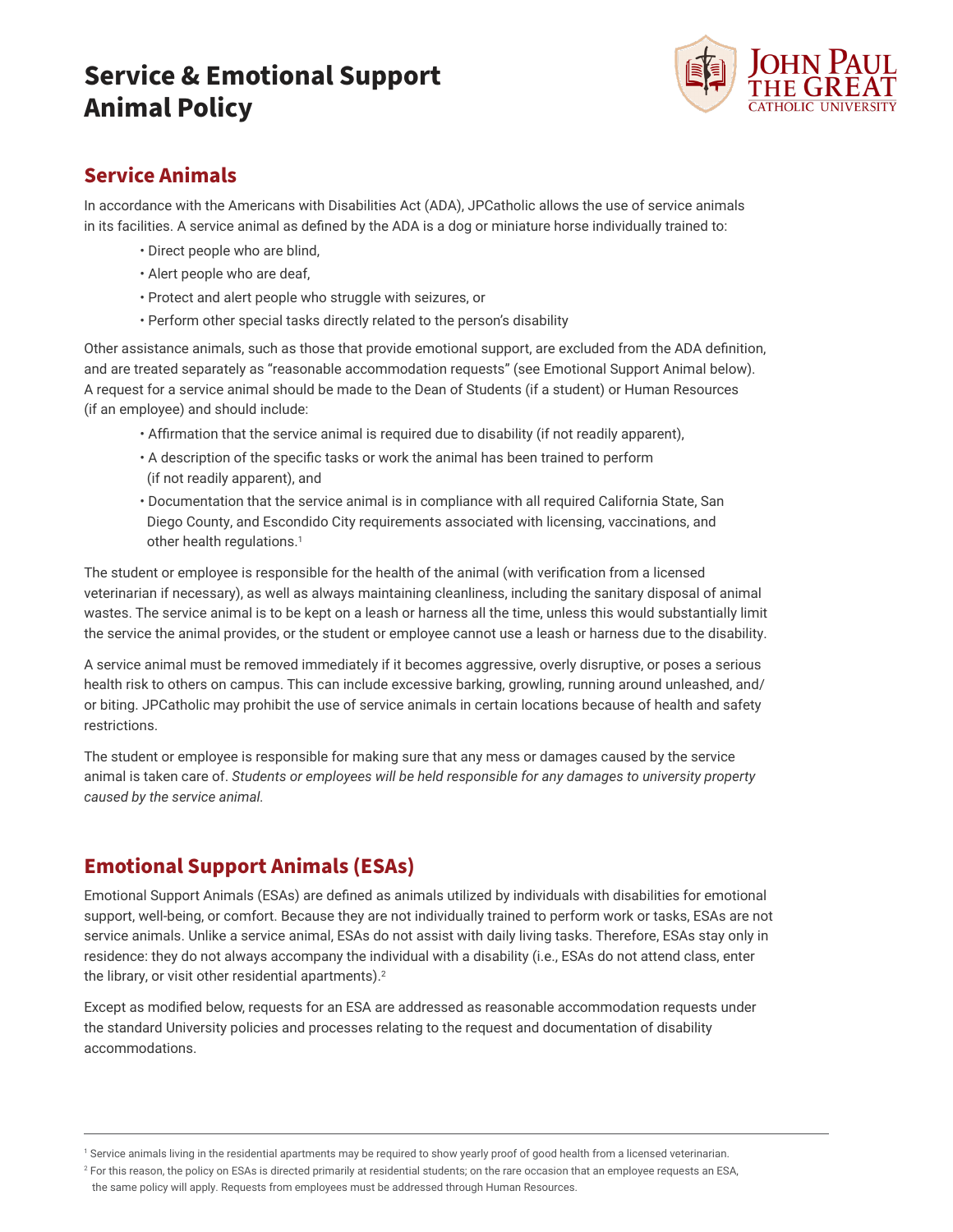# **Service & Emotional Support Animal Policy**



### **Service Animals**

In accordance with the Americans with Disabilities Act (ADA), JPCatholic allows the use of service animals in its facilities. A service animal as defined by the ADA is a dog or miniature horse individually trained to:

- Direct people who are blind,
- Alert people who are deaf,
- Protect and alert people who struggle with seizures, or
- Perform other special tasks directly related to the person's disability

Other assistance animals, such as those that provide emotional support, are excluded from the ADA definition, and are treated separately as "reasonable accommodation requests" (see Emotional Support Animal below). A request for a service animal should be made to the Dean of Students (if a student) or Human Resources (if an employee) and should include:

- Affirmation that the service animal is required due to disability (if not readily apparent),
- A description of the specific tasks or work the animal has been trained to perform (if not readily apparent), and
- Documentation that the service animal is in compliance with all required California State, San Diego County, and Escondido City requirements associated with licensing, vaccinations, and other health regulations.<sup>1</sup>

The student or employee is responsible for the health of the animal (with verification from a licensed veterinarian if necessary), as well as always maintaining cleanliness, including the sanitary disposal of animal wastes. The service animal is to be kept on a leash or harness all the time, unless this would substantially limit the service the animal provides, or the student or employee cannot use a leash or harness due to the disability.

A service animal must be removed immediately if it becomes aggressive, overly disruptive, or poses a serious health risk to others on campus. This can include excessive barking, growling, running around unleashed, and/ or biting. JPCatholic may prohibit the use of service animals in certain locations because of health and safety restrictions.

The student or employee is responsible for making sure that any mess or damages caused by the service animal is taken care of. *Students or employees will be held responsible for any damages to university property caused by the service animal.* 

## **Emotional Support Animals (ESAs)**

Emotional Support Animals (ESAs) are defined as animals utilized by individuals with disabilities for emotional support, well-being, or comfort. Because they are not individually trained to perform work or tasks, ESAs are not service animals. Unlike a service animal, ESAs do not assist with daily living tasks. Therefore, ESAs stay only in residence: they do not always accompany the individual with a disability (i.e., ESAs do not attend class, enter the library, or visit other residential apartments).<sup>2</sup>

Except as modified below, requests for an ESA are addressed as reasonable accommodation requests under the standard University policies and processes relating to the request and documentation of disability accommodations.

<sup>1</sup> Service animals living in the residential apartments may be required to show yearly proof of good health from a licensed veterinarian.

 $^2$  For this reason, the policy on ESAs is directed primarily at residential students; on the rare occasion that an employee requests an ESA,

the same policy will apply. Requests from employees must be addressed through Human Resources.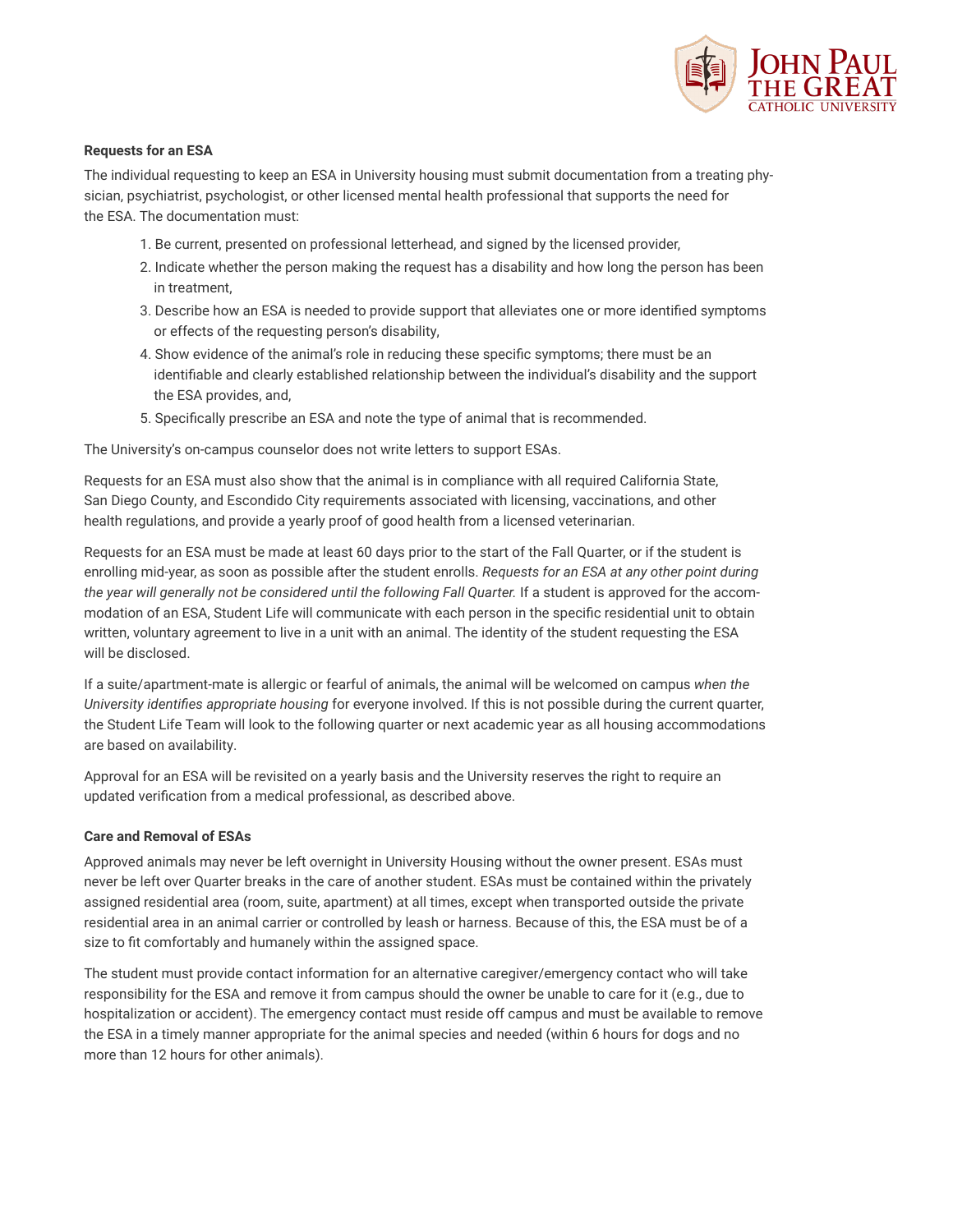

### **Requests for an ESA**

The individual requesting to keep an ESA in University housing must submit documentation from a treating physician, psychiatrist, psychologist, or other licensed mental health professional that supports the need for the ESA. The documentation must:

- 1. Be current, presented on professional letterhead, and signed by the licensed provider,
- 2. Indicate whether the person making the request has a disability and how long the person has been in treatment,
- 3. Describe how an ESA is needed to provide support that alleviates one or more identified symptoms or effects of the requesting person's disability,
- 4. Show evidence of the animal's role in reducing these specific symptoms; there must be an identifiable and clearly established relationship between the individual's disability and the support the ESA provides, and,
- 5. Specifically prescribe an ESA and note the type of animal that is recommended.

The University's on-campus counselor does not write letters to support ESAs.

Requests for an ESA must also show that the animal is in compliance with all required California State, San Diego County, and Escondido City requirements associated with licensing, vaccinations, and other health regulations, and provide a yearly proof of good health from a licensed veterinarian.

Requests for an ESA must be made at least 60 days prior to the start of the Fall Quarter, or if the student is enrolling mid-year, as soon as possible after the student enrolls. *Requests for an ESA at any other point during the year will generally not be considered until the following Fall Quarter.* If a student is approved for the accommodation of an ESA, Student Life will communicate with each person in the specific residential unit to obtain written, voluntary agreement to live in a unit with an animal. The identity of the student requesting the ESA will be disclosed.

If a suite/apartment-mate is allergic or fearful of animals, the animal will be welcomed on campus *when the University identifies appropriate housing* for everyone involved. If this is not possible during the current quarter, the Student Life Team will look to the following quarter or next academic year as all housing accommodations are based on availability.

Approval for an ESA will be revisited on a yearly basis and the University reserves the right to require an updated verification from a medical professional, as described above.

#### **Care and Removal of ESAs**

Approved animals may never be left overnight in University Housing without the owner present. ESAs must never be left over Quarter breaks in the care of another student. ESAs must be contained within the privately assigned residential area (room, suite, apartment) at all times, except when transported outside the private residential area in an animal carrier or controlled by leash or harness. Because of this, the ESA must be of a size to fit comfortably and humanely within the assigned space.

The student must provide contact information for an alternative caregiver/emergency contact who will take responsibility for the ESA and remove it from campus should the owner be unable to care for it (e.g., due to hospitalization or accident). The emergency contact must reside off campus and must be available to remove the ESA in a timely manner appropriate for the animal species and needed (within 6 hours for dogs and no more than 12 hours for other animals).